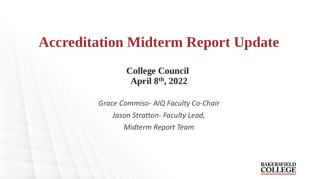# **Accreditation Midterm Report Update**

**College Council April 8th, 2022**

*Grace Commiso- AIQ Faculty Co-Chair Jason Stratton- Faculty Lead, Midterm Report Team*

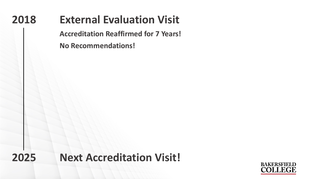#### **2018 External Evaluation Visit**

**Accreditation Reaffirmed for 7 Years! No Recommendations!**

**2025 Next Accreditation Visit!**

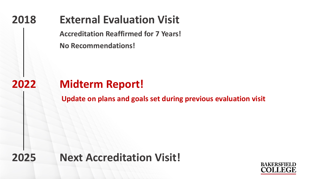### **2018 External Evaluation Visit**

**Accreditation Reaffirmed for 7 Years!** 

**No Recommendations!**

### **2022 Midterm Report!**

**Update on plans and goals set during previous evaluation visit**

**2025 Next Accreditation Visit!**

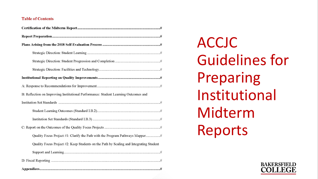#### **Table of Contents**

| B: Reflection on Improving Institutional Performance: Student Learning Outcomes and    |
|----------------------------------------------------------------------------------------|
|                                                                                        |
|                                                                                        |
|                                                                                        |
|                                                                                        |
|                                                                                        |
| Quality Focus Project #2: Keep Students on the Path by Scaling and Integrating Student |
|                                                                                        |
|                                                                                        |
|                                                                                        |

ACCJC Guidelines for Preparing Institutional Midterm Reports

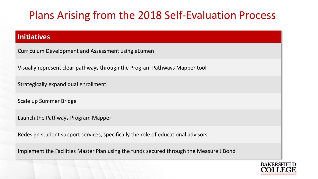#### Plans Arising from the 2018 Self-Evaluation Process

#### **Initiatives**

Curriculum Development and Assessment using eLumen

Visually represent clear pathways through the Program Pathways Mapper tool

Strategically expand dual enrollment

Scale up Summer Bridge

Launch the Pathways Program Mapper

Redesign student support services, specifically the role of educational advisors

Implement the Facilities Master Plan using the funds secured through the Measure J Bond

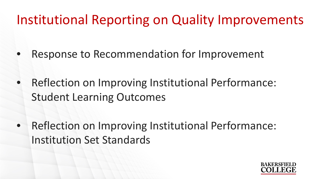# Institutional Reporting on Quality Improvements

- Response to Recommendation for Improvement
- Reflection on Improving Institutional Performance: Student Learning Outcomes
- Reflection on Improving Institutional Performance: Institution Set Standards

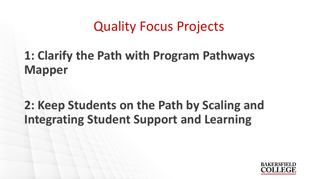# Quality Focus Projects

## **1: Clarify the Path with Program Pathways Mapper**

# **2: Keep Students on the Path by Scaling and Integrating Student Support and Learning**

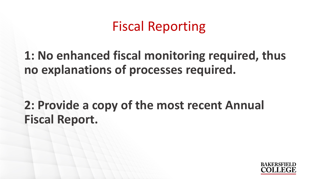# Fiscal Reporting

**1: No enhanced fiscal monitoring required, thus no explanations of processes required.**

**2: Provide a copy of the most recent Annual Fiscal Report.**

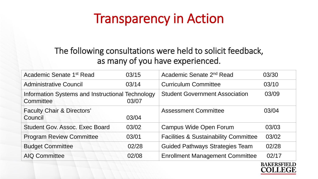# Transparency in Action

#### The following consultations were held to solicit feedback, as many of you have experienced.

| Academic Senate 1 <sup>st</sup> Read                          | 03/15 | Academic Senate 2 <sup>nd</sup> Read             | 03/30 |
|---------------------------------------------------------------|-------|--------------------------------------------------|-------|
| <b>Administrative Council</b>                                 | 03/14 | <b>Curriculum Committee</b>                      | 03/10 |
| Information Systems and Instructional Technology<br>Committee | 03/07 | <b>Student Government Association</b>            | 03/09 |
| <b>Faculty Chair &amp; Directors'</b><br>Council              | 03/04 | <b>Assessment Committee</b>                      | 03/04 |
| <b>Student Gov. Assoc. Exec Board</b>                         | 03/02 | <b>Campus Wide Open Forum</b>                    | 03/03 |
| <b>Program Review Committee</b>                               | 03/01 | <b>Facilities &amp; Sustainability Committee</b> | 03/02 |
| <b>Budget Committee</b>                                       | 02/28 | <b>Guided Pathways Strategies Team</b>           | 02/28 |
| <b>AIQ Committee</b>                                          | 02/08 | <b>Enrollment Management Committee</b>           | 02/17 |

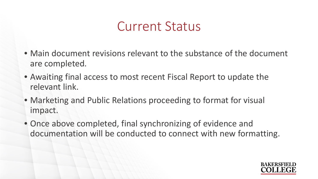# Current Status

- Main document revisions relevant to the substance of the document are completed.
- Awaiting final access to most recent Fiscal Report to update the relevant link.
- Marketing and Public Relations proceeding to format for visual impact.
- Once above completed, final synchronizing of evidence and documentation will be conducted to connect with new formatting.

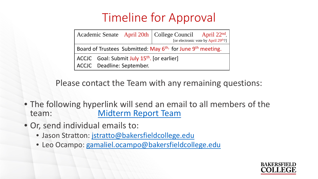## Timeline for Approval

|                                                                                     |  |                            | Academic Senate April 20th   College Council April 22 <sup>nd</sup> , | [or electronic vote by April 29 <sup>th?]</sup> |  |
|-------------------------------------------------------------------------------------|--|----------------------------|-----------------------------------------------------------------------|-------------------------------------------------|--|
| Board of Trustees Submitted: May 6 <sup>th,</sup> for June 9 <sup>th</sup> meeting. |  |                            |                                                                       |                                                 |  |
| ACCJC Goal: Submit July 15 <sup>th</sup> . [or earlier]                             |  |                            |                                                                       |                                                 |  |
|                                                                                     |  | ACCJC Deadline: September. |                                                                       |                                                 |  |

Please contact the Team with any remaining questions:

- The following hyperlink will send an email to all members of the team: [Midterm Report Team](mailto:jstratto@bakersfieldcollege.edu;gamaliel.ocampo@bakersfieldcollege.edu;lmiller@bakersfieldcollege.edu;diana.cason@bakersfieldcollege.edu:sondra.keckley@bakersfieldcollege.edu?subject=BC%20Midterm%20Report%20Presentation%20feedback)
- Or, send individual emails to:
	- Jason Stratton: [jstratto@bakersfieldcollege.edu](mailto:jstratto@bakersfieldcollege.edu;?subject=BC%20Midterm%20Report%20Presentation%20feedback)
	- Leo Ocampo: [gamaliel.ocampo@bakersfieldcollege.edu](mailto:gamaliel.ocampo@bakersfieldcollege.edu;?subject=BC%20Midterm%20Report%20Presentation%20feedback)